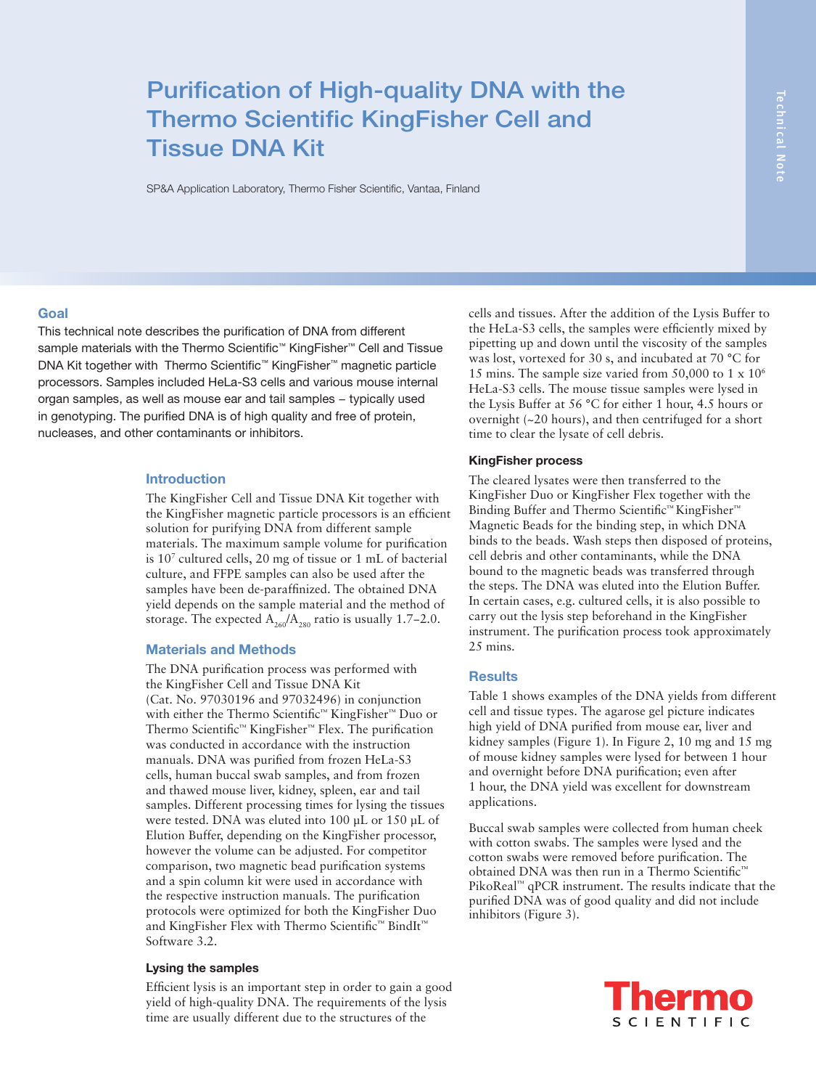# Purification of High-quality DNA with the Thermo Scientific KingFisher Cell and Tissue DNA Kit

SP&A Application Laboratory, Thermo Fisher Scientific, Vantaa, Finland

#### **Goal**

This technical note describes the purification of DNA from different sample materials with the Thermo Scientific<sup>™</sup> KingFisher<sup>™</sup> Cell and Tissue DNA Kit together with Thermo Scientific™ KingFisher™ magnetic particle processors. Samples included HeLa-S3 cells and various mouse internal organ samples, as well as mouse ear and tail samples – typically used in genotyping. The purified DNA is of high quality and free of protein, nucleases, and other contaminants or inhibitors.

#### **Introduction**

The KingFisher Cell and Tissue DNA Kit together with the KingFisher magnetic particle processors is an efficient solution for purifying DNA from different sample materials. The maximum sample volume for purification is 107 cultured cells, 20 mg of tissue or 1 mL of bacterial culture, and FFPE samples can also be used after the samples have been de-paraffinized. The obtained DNA yield depends on the sample material and the method of storage. The expected  $\rm A_{260}/A_{280}$  ratio is usually 1.7–2.0.

## **Materials and Methods**

The DNA purification process was performed with the KingFisher Cell and Tissue DNA Kit (Cat. No. 97030196 and 97032496) in conjunction with either the Thermo Scientific™ KingFisher™ Duo or Thermo Scientific™ KingFisher™ Flex. The purification was conducted in accordance with the instruction manuals. DNA was purified from frozen HeLa-S3 cells, human buccal swab samples, and from frozen and thawed mouse liver, kidney, spleen, ear and tail samples. Different processing times for lysing the tissues were tested. DNA was eluted into 100 μL or 150 μL of Elution Buffer, depending on the KingFisher processor, however the volume can be adjusted. For competitor comparison, two magnetic bead purification systems and a spin column kit were used in accordance with the respective instruction manuals. The purification protocols were optimized for both the KingFisher Duo and KingFisher Flex with Thermo Scientific™ BindIt™ Software 3.2.

#### **Lysing the samples**

Efficient lysis is an important step in order to gain a good yield of high-quality DNA. The requirements of the lysis time are usually different due to the structures of the

cells and tissues. After the addition of the Lysis Buffer to the HeLa-S3 cells, the samples were efficiently mixed by pipetting up and down until the viscosity of the samples was lost, vortexed for 30 s, and incubated at 70 °C for 15 mins. The sample size varied from 50,000 to 1 x 106 HeLa-S3 cells. The mouse tissue samples were lysed in the Lysis Buffer at 56 °C for either 1 hour, 4.5 hours or overnight (~20 hours), and then centrifuged for a short time to clear the lysate of cell debris.

### **KingFisher process**

The cleared lysates were then transferred to the KingFisher Duo or KingFisher Flex together with the Binding Buffer and Thermo Scientific™ KingFisher™ Magnetic Beads for the binding step, in which DNA binds to the beads. Wash steps then disposed of proteins, cell debris and other contaminants, while the DNA bound to the magnetic beads was transferred through the steps. The DNA was eluted into the Elution Buffer. In certain cases, e.g. cultured cells, it is also possible to carry out the lysis step beforehand in the KingFisher instrument. The purification process took approximately 25 mins.

### **Results**

Table 1 shows examples of the DNA yields from different cell and tissue types. The agarose gel picture indicates high yield of DNA purified from mouse ear, liver and kidney samples (Figure 1). In Figure 2, 10 mg and 15 mg of mouse kidney samples were lysed for between 1 hour and overnight before DNA purification; even after 1 hour, the DNA yield was excellent for downstream applications.

Buccal swab samples were collected from human cheek with cotton swabs. The samples were lysed and the cotton swabs were removed before purification. The obtained DNA was then run in a Thermo Scientific<sup>™</sup> PikoReal™ qPCR instrument. The results indicate that the purified DNA was of good quality and did not include inhibitors (Figure 3).